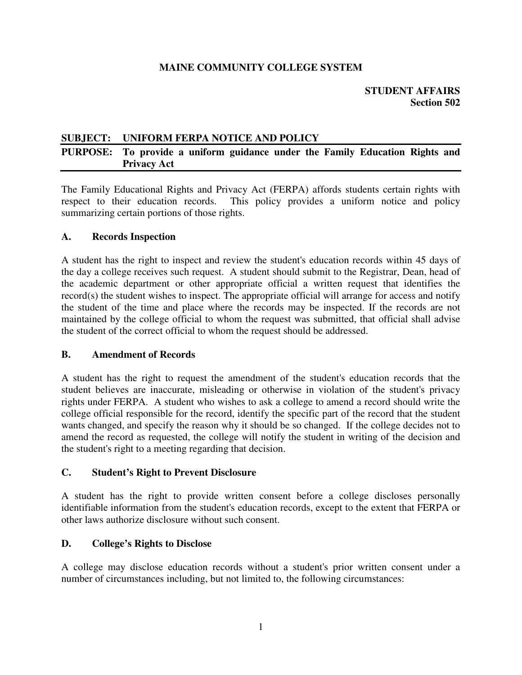### **MAINE COMMUNITY COLLEGE SYSTEM**

### **SUBJECT: UNIFORM FERPA NOTICE AND POLICY**

### **PURPOSE: To provide a uniform guidance under the Family Education Rights and Privacy Act**

The Family Educational Rights and Privacy Act (FERPA) affords students certain rights with respect to their education records. This policy provides a uniform notice and policy summarizing certain portions of those rights.

### **A. Records Inspection**

A student has the right to inspect and review the student's education records within 45 days of the day a college receives such request. A student should submit to the Registrar, Dean, head of the academic department or other appropriate official a written request that identifies the record(s) the student wishes to inspect. The appropriate official will arrange for access and notify the student of the time and place where the records may be inspected. If the records are not maintained by the college official to whom the request was submitted, that official shall advise the student of the correct official to whom the request should be addressed.

### **B. Amendment of Records**

A student has the right to request the amendment of the student's education records that the student believes are inaccurate, misleading or otherwise in violation of the student's privacy rights under FERPA. A student who wishes to ask a college to amend a record should write the college official responsible for the record, identify the specific part of the record that the student wants changed, and specify the reason why it should be so changed. If the college decides not to amend the record as requested, the college will notify the student in writing of the decision and the student's right to a meeting regarding that decision.

### **C. Student's Right to Prevent Disclosure**

A student has the right to provide written consent before a college discloses personally identifiable information from the student's education records, except to the extent that FERPA or other laws authorize disclosure without such consent.

### **D. College's Rights to Disclose**

A college may disclose education records without a student's prior written consent under a number of circumstances including, but not limited to, the following circumstances: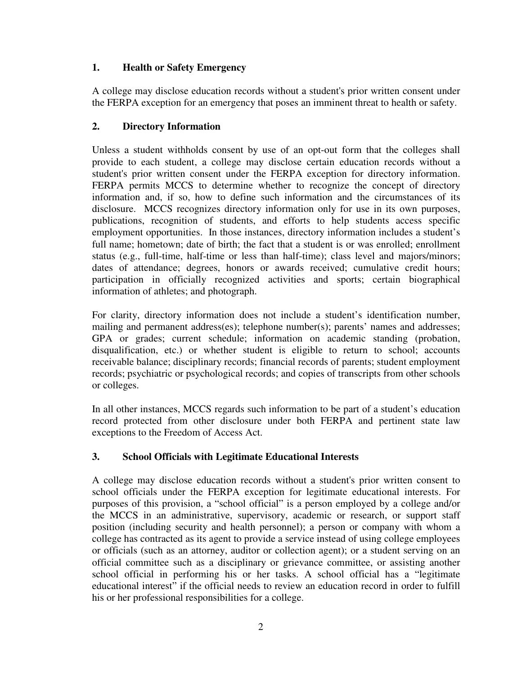## **1. Health or Safety Emergency**

A college may disclose education records without a student's prior written consent under the FERPA exception for an emergency that poses an imminent threat to health or safety.

# **2. Directory Information**

Unless a student withholds consent by use of an opt-out form that the colleges shall provide to each student, a college may disclose certain education records without a student's prior written consent under the FERPA exception for directory information. FERPA permits MCCS to determine whether to recognize the concept of directory information and, if so, how to define such information and the circumstances of its disclosure. MCCS recognizes directory information only for use in its own purposes, publications, recognition of students, and efforts to help students access specific employment opportunities. In those instances, directory information includes a student's full name; hometown; date of birth; the fact that a student is or was enrolled; enrollment status (e.g., full-time, half-time or less than half-time); class level and majors/minors; dates of attendance; degrees, honors or awards received; cumulative credit hours; participation in officially recognized activities and sports; certain biographical information of athletes; and photograph.

For clarity, directory information does not include a student's identification number, mailing and permanent address(es); telephone number(s); parents' names and addresses; GPA or grades; current schedule; information on academic standing (probation, disqualification, etc.) or whether student is eligible to return to school; accounts receivable balance; disciplinary records; financial records of parents; student employment records; psychiatric or psychological records; and copies of transcripts from other schools or colleges.

In all other instances, MCCS regards such information to be part of a student's education record protected from other disclosure under both FERPA and pertinent state law exceptions to the Freedom of Access Act.

## **3. School Officials with Legitimate Educational Interests**

A college may disclose education records without a student's prior written consent to school officials under the FERPA exception for legitimate educational interests. For purposes of this provision, a "school official" is a person employed by a college and/or the MCCS in an administrative, supervisory, academic or research, or support staff position (including security and health personnel); a person or company with whom a college has contracted as its agent to provide a service instead of using college employees or officials (such as an attorney, auditor or collection agent); or a student serving on an official committee such as a disciplinary or grievance committee, or assisting another school official in performing his or her tasks. A school official has a "legitimate educational interest" if the official needs to review an education record in order to fulfill his or her professional responsibilities for a college.